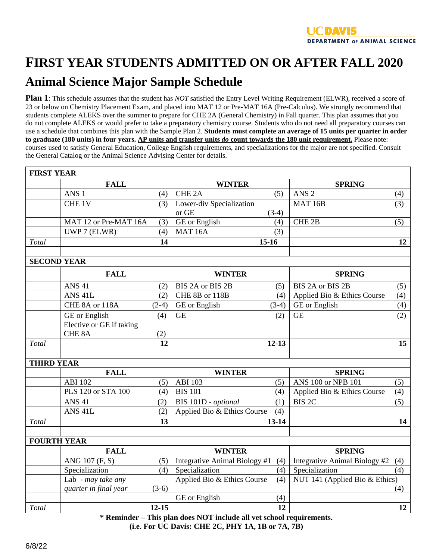

## **FIRST YEAR STUDENTS ADMITTED ON OR AFTER FALL 2020**

## **Animal Science Major Sample Schedule**

**Plan 1**: This schedule assumes that the student has *NOT* satisfied the Entry Level Writing Requirement (ELWR), received a score of 23 or below on Chemistry Placement Exam, and placed into MAT 12 or Pre-MAT 16A (Pre-Calculus). We strongly recommend that students complete ALEKS over the summer to prepare for CHE 2A (General Chemistry) in Fall quarter. This plan assumes that you do not complete ALEKS or would prefer to take a preparatory chemistry course. Students who do not need all preparatory courses can use a schedule that combines this plan with the Sample Plan 2. **Students must complete an average of 15 units per quarter in order to graduate (180 units) in four years. AP units and transfer units** *do* **count towards the 180 unit requirement.** Please note: courses used to satisfy General Education, College English requirements, and specializations for the major are not specified. Consult the General Catalog or the Animal Science Advising Center for details.

| <b>FIRST YEAR</b>  |                          |                           |                                  |                    |                                |     |  |  |  |
|--------------------|--------------------------|---------------------------|----------------------------------|--------------------|--------------------------------|-----|--|--|--|
|                    | <b>FALL</b>              |                           | <b>WINTER</b>                    |                    | <b>SPRING</b>                  |     |  |  |  |
|                    | ANS <sub>1</sub>         | (4)                       | CHE <sub>2</sub> A               | (5)                | ANS <sub>2</sub>               | (4) |  |  |  |
|                    | CHE 1V                   | (3)                       | Lower-div Specialization         |                    | <b>MAT 16B</b>                 | (3) |  |  |  |
|                    |                          |                           | or GE                            | $(3-4)$            |                                |     |  |  |  |
|                    | MAT 12 or Pre-MAT 16A    | (3)                       | <b>GE</b> or English             | (4)                | CHE <sub>2B</sub>              | (5) |  |  |  |
|                    | UWP 7 (ELWR)             | (4)                       | MAT <sub>16</sub> A              | (3)                |                                |     |  |  |  |
| Total              |                          | 14                        |                                  | $15-16$            |                                | 12  |  |  |  |
|                    |                          |                           |                                  |                    |                                |     |  |  |  |
| <b>SECOND YEAR</b> |                          |                           |                                  |                    |                                |     |  |  |  |
|                    | <b>FALL</b>              |                           | <b>WINTER</b>                    |                    | <b>SPRING</b>                  |     |  |  |  |
|                    | <b>ANS 41</b>            | (2)                       | BIS 2A or BIS 2B                 | (5)                | BIS 2A or BIS 2B               | (5) |  |  |  |
|                    | ANS <sub>41L</sub>       | (2)                       | CHE 8B or 118B                   | (4)                | Applied Bio & Ethics Course    | (4) |  |  |  |
|                    | CHE 8A or 118A           | $(2-4)$                   | GE or English                    | $(3-4)$            | GE or English                  | (4) |  |  |  |
|                    | <b>GE</b> or English     | (4)                       | <b>GE</b>                        | (2)                | <b>GE</b>                      | (2) |  |  |  |
|                    | Elective or GE if taking |                           |                                  |                    |                                |     |  |  |  |
|                    | CHE <sub>8</sub> A       | (2)                       |                                  |                    |                                |     |  |  |  |
| Total              |                          | 12                        |                                  | $12 - 13$          |                                | 15  |  |  |  |
| <b>THIRD YEAR</b>  |                          |                           |                                  |                    |                                |     |  |  |  |
|                    | <b>FALL</b>              |                           | <b>WINTER</b>                    |                    | <b>SPRING</b>                  |     |  |  |  |
|                    | <b>ABI 102</b>           | (5)                       | <b>ABI 103</b>                   | (5)                | ANS 100 or NPB 101             | (5) |  |  |  |
|                    | PLS 120 or STA 100       | (4)                       | <b>BIS 101</b>                   | (4)                | Applied Bio & Ethics Course    | (4) |  |  |  |
|                    | <b>ANS 41</b>            | (2)                       | BIS 101D - optional              | (1)                | <b>BIS 2C</b>                  | (5) |  |  |  |
|                    | ANS <sub>41L</sub>       | (2)                       | Applied Bio & Ethics Course      | (4)                |                                |     |  |  |  |
| Total              |                          | 13                        |                                  | $13 - 14$          |                                | 14  |  |  |  |
|                    |                          |                           |                                  |                    |                                |     |  |  |  |
| <b>FOURTH YEAR</b> |                          |                           |                                  |                    |                                |     |  |  |  |
|                    | <b>FALL</b>              |                           | <b>WINTER</b>                    |                    | <b>SPRING</b>                  |     |  |  |  |
|                    | ANG 107 (F, S)           | (5)                       | Integrative Animal Biology #1    | (4)                | Integrative Animal Biology #2  | (4) |  |  |  |
|                    | Specialization           | (4)                       | Specialization                   | (4)                | Specialization                 | (4) |  |  |  |
|                    | Lab - may take any       |                           | Applied Bio & Ethics Course      | (4)                | NUT 141 (Applied Bio & Ethics) |     |  |  |  |
|                    | quarter in final year    | $(3-6)$                   |                                  |                    |                                | (4) |  |  |  |
|                    |                          |                           | GE or English                    | (4)                |                                |     |  |  |  |
| Total              | $\sim$ Th                | $12 - 15$<br>$\mathbf{m}$ | $1 \quad 1 \quad M \cap T$<br>11 | 12<br>$\mathbf{u}$ | $\bullet$                      | 12  |  |  |  |

**\* Reminder – This plan does NOT include all vet school requirements. (i.e. For UC Davis: CHE 2C, PHY 1A, 1B or 7A, 7B)**